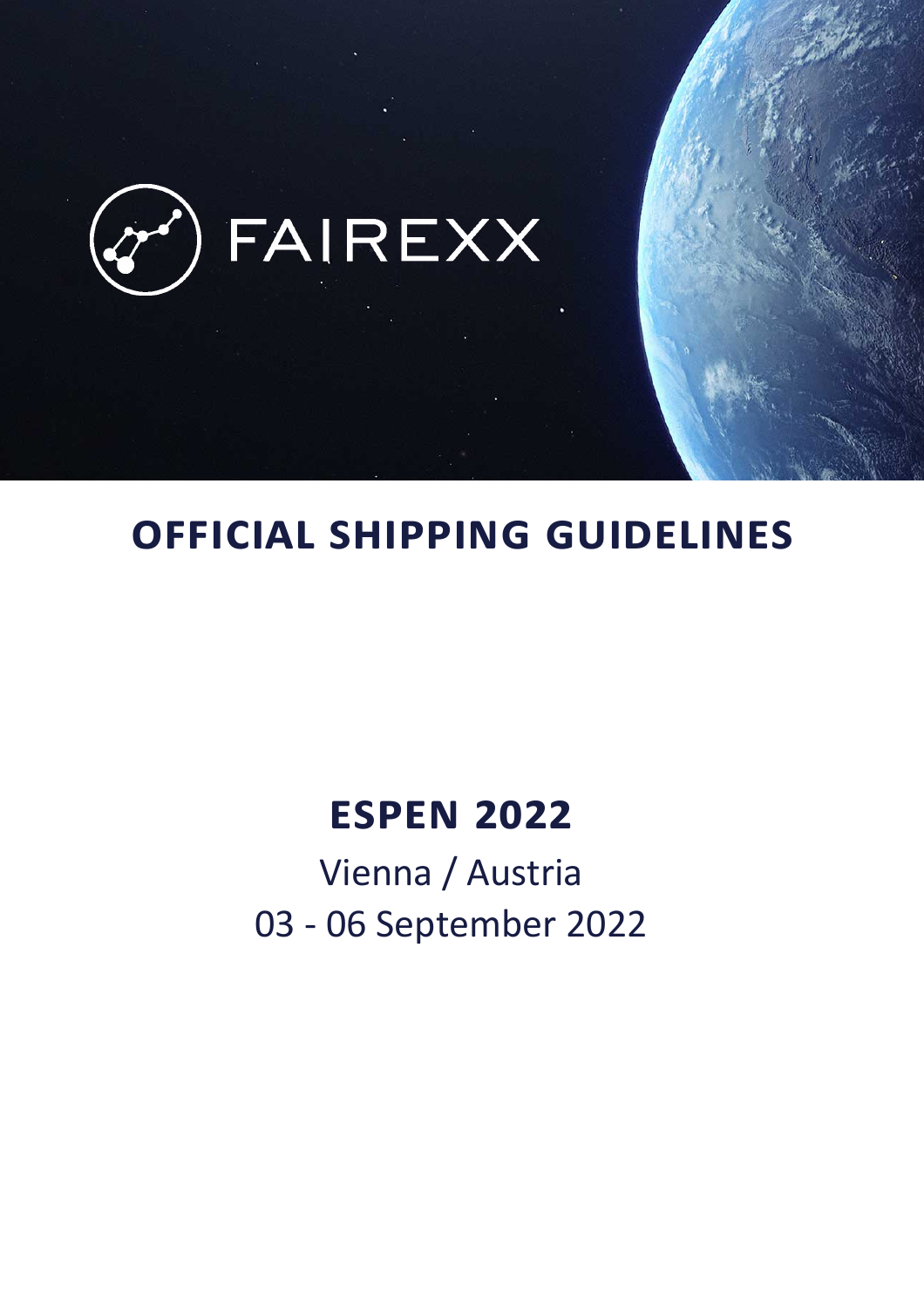

# **OFFICIAL SHIPPING GUIDELINES**

# **ESPEN 2022**

Vienna / Austria 03 - 06 September 2022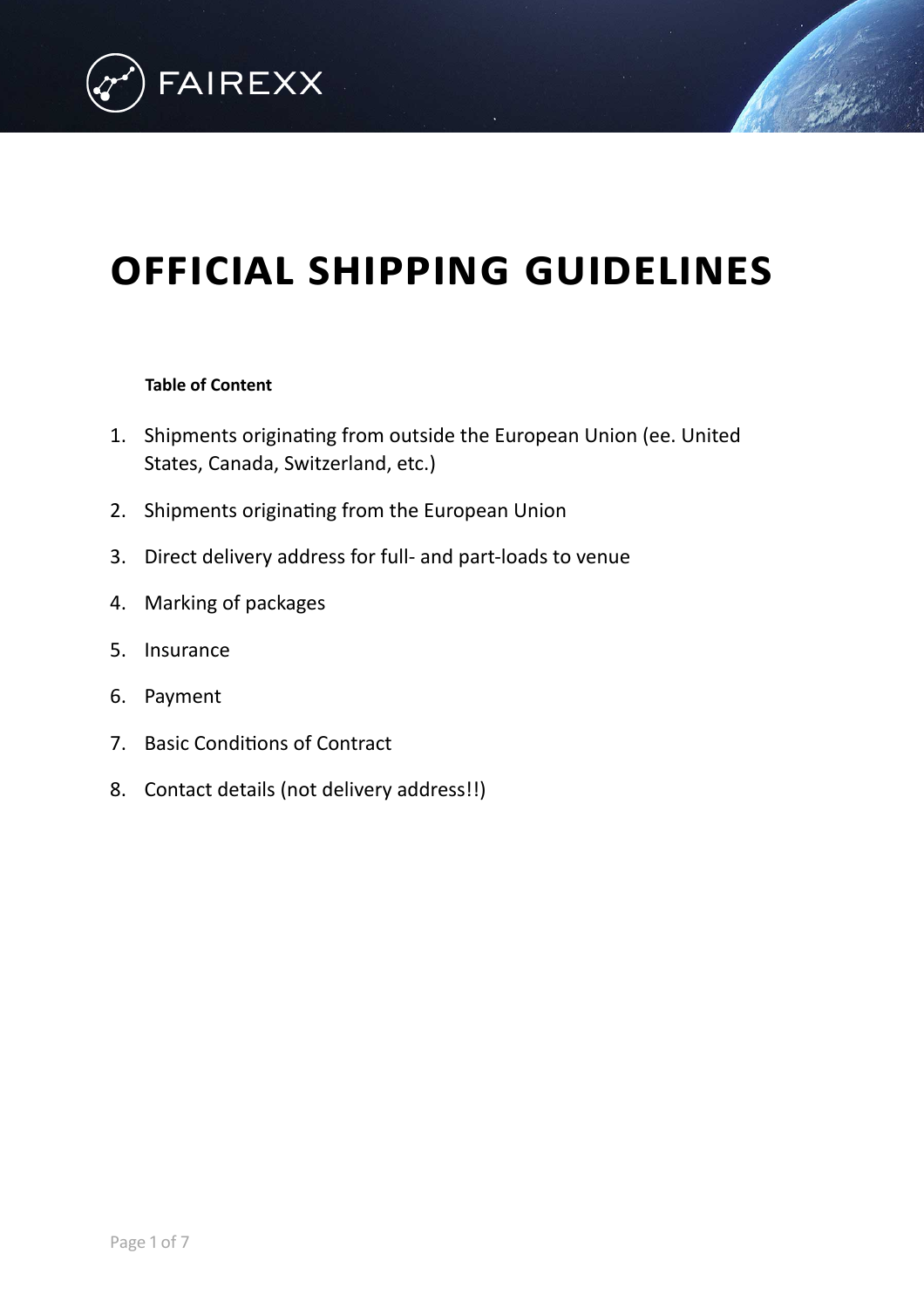

# **OFFICIAL SHIPPING GUIDELINES**

### **Table of Content**

- 1. [Shipments originating from outside the European Union \(ee. United](#page-2-0)  States, Canada, Switzerland, etc.)
- 2. [Shipments originating from the European Union](#page-4-0)
- 3. [Direct delivery address for full- and part-loads to venue](#page-5-0)
- 4. [Marking of packages](#page-5-1)
- 5. [Insurance](#page-6-0)
- 6. [Payment](#page-6-1)
- 7. [Basic Conditions of Contract](#page-6-2)
- 8. [Contact details \(not delivery address!!\)](#page-7-0)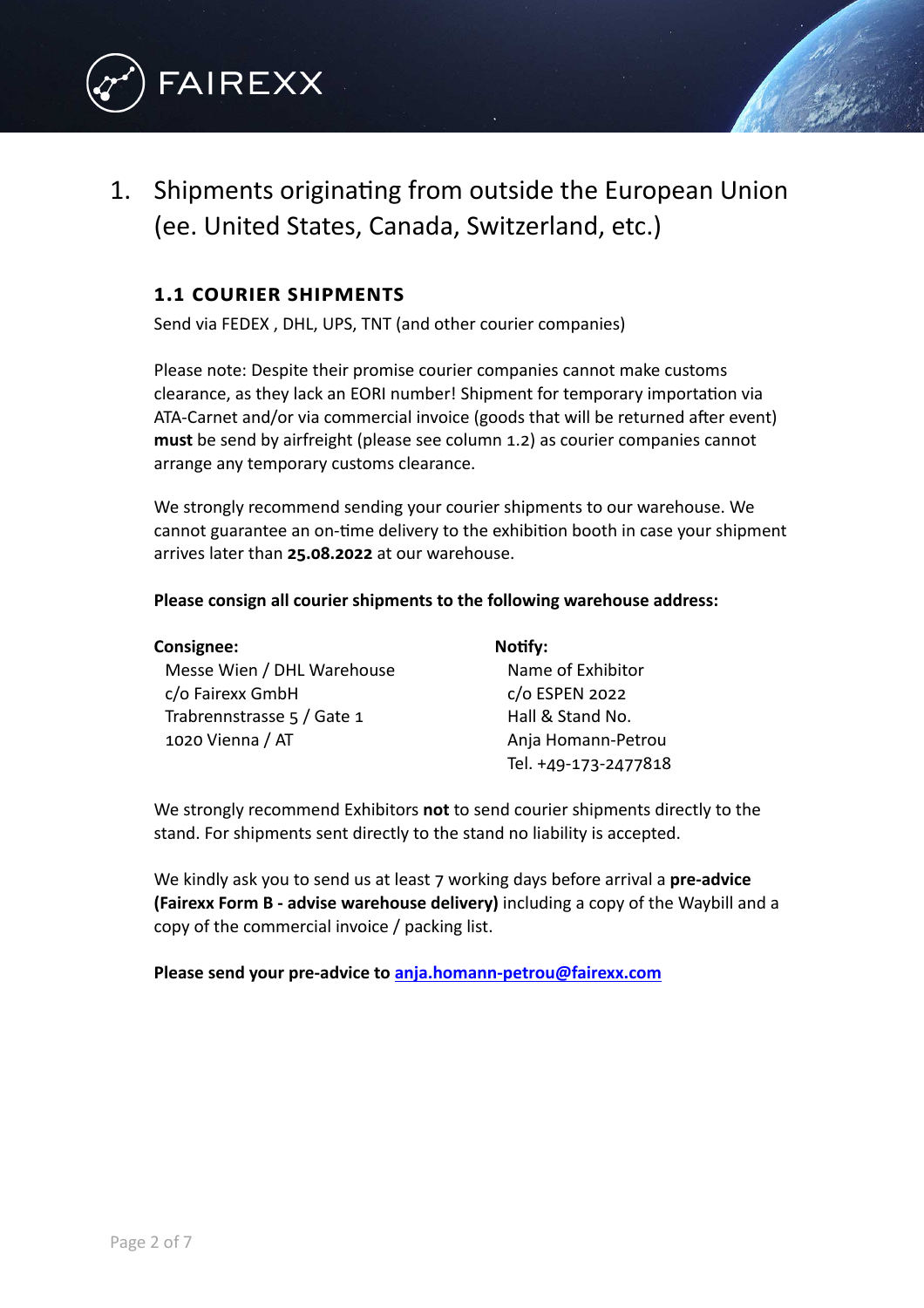

# <span id="page-2-0"></span>1. Shipments originating from outside the European Union (ee. United States, Canada, Switzerland, etc.)

### **1.1 COURIER SHIPMENTS**

Send via FEDEX , DHL, UPS, TNT (and other courier companies)

Please note: Despite their promise courier companies cannot make customs clearance, as they lack an EORI number! Shipment for temporary importation via ATA-Carnet and/or via commercial invoice (goods that will be returned after event) **must** be send by airfreight (please see column 1.2) as courier companies cannot arrange any temporary customs clearance.

We strongly recommend sending your courier shipments to our warehouse. We cannot guarantee an on-time delivery to the exhibition booth in case your shipment arrives later than **25.08.2022** at our warehouse.

#### **Please consign all courier shipments to the following warehouse address:**

| <b>Consignee:</b>          | Notify:              |
|----------------------------|----------------------|
| Messe Wien / DHL Warehouse | Name of Exhibitor    |
| c/o Fairexx GmbH           | c/o ESPEN 2022       |
| Trabrennstrasse 5 / Gate 1 | Hall & Stand No.     |
| 1020 Vienna / AT           | Anja Homann-Petrou   |
|                            | Tel. +49-173-2477818 |

We strongly recommend Exhibitors **not** to send courier shipments directly to the stand. For shipments sent directly to the stand no liability is accepted.

We kindly ask you to send us at least 7 working days before arrival a **pre-advice (Fairexx Form B - advise warehouse delivery)** including a copy of the Waybill and a copy of the commercial invoice / packing list.

**Please send your pre-advice to [anja.homann-petrou@fairexx.com](mailto:anja.homann-petrou@fairexx.com)**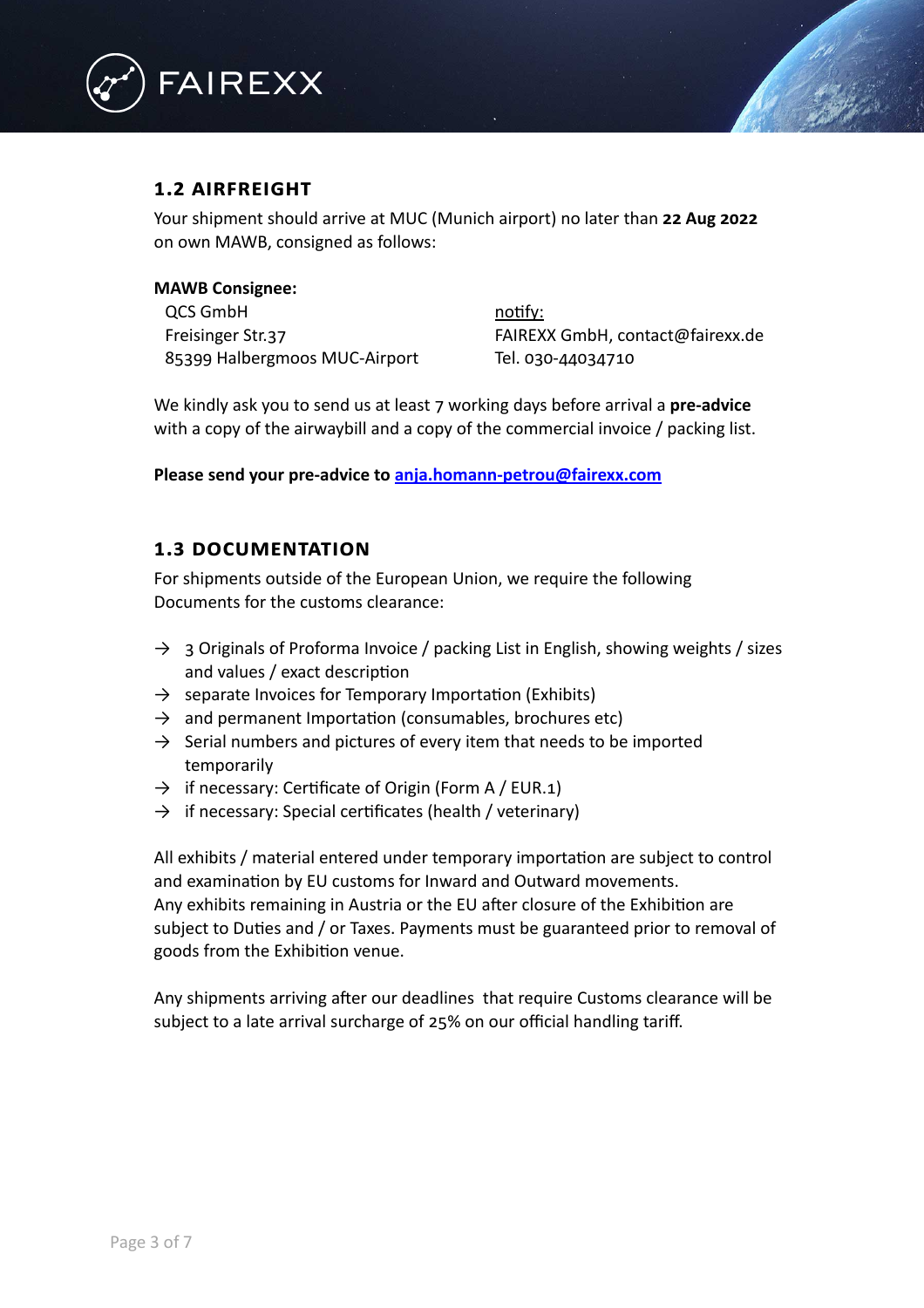

### **1.2 AIRFREIGHT**

Your shipment should arrive at MUC (Munich airport) no later than **22 Aug 2022** on own MAWB, consigned as follows:

#### **MAWB Consignee:**

QCS GmbH notify: 85399 Halbergmoos MUC-Airport Tel. 030-44034710

Freisinger Str.37 FAIREXX GmbH, contact@fairexx.de

We kindly ask you to send us at least 7 working days before arrival a **pre-advice** with a copy of the airwaybill and a copy of the commercial invoice / packing list.

**Please send your pre-advice to [anja.homann-petrou@fairexx.com](mailto:anja.homann-petrou@fairexx.com)**

#### **1.3 DOCUMENTATION**

For shipments outside of the European Union, we require the following Documents for the customs clearance:

- $\rightarrow$  3 Originals of Proforma Invoice / packing List in English, showing weights / sizes and values / exact description
- $\rightarrow$  separate Invoices for Temporary Importation (Exhibits)
- $\rightarrow$  and permanent Importation (consumables, brochures etc)
- $\rightarrow$  Serial numbers and pictures of every item that needs to be imported temporarily
- $\rightarrow$  if necessary: Certificate of Origin (Form A / EUR.1)
- $\rightarrow$  if necessary: Special certificates (health / veterinary)

All exhibits / material entered under temporary importation are subject to control and examination by EU customs for Inward and Outward movements. Any exhibits remaining in Austria or the EU after closure of the Exhibition are subject to Duties and / or Taxes. Payments must be guaranteed prior to removal of goods from the Exhibition venue.

Any shipments arriving after our deadlines that require Customs clearance will be subject to a late arrival surcharge of 25% on our official handling tariff.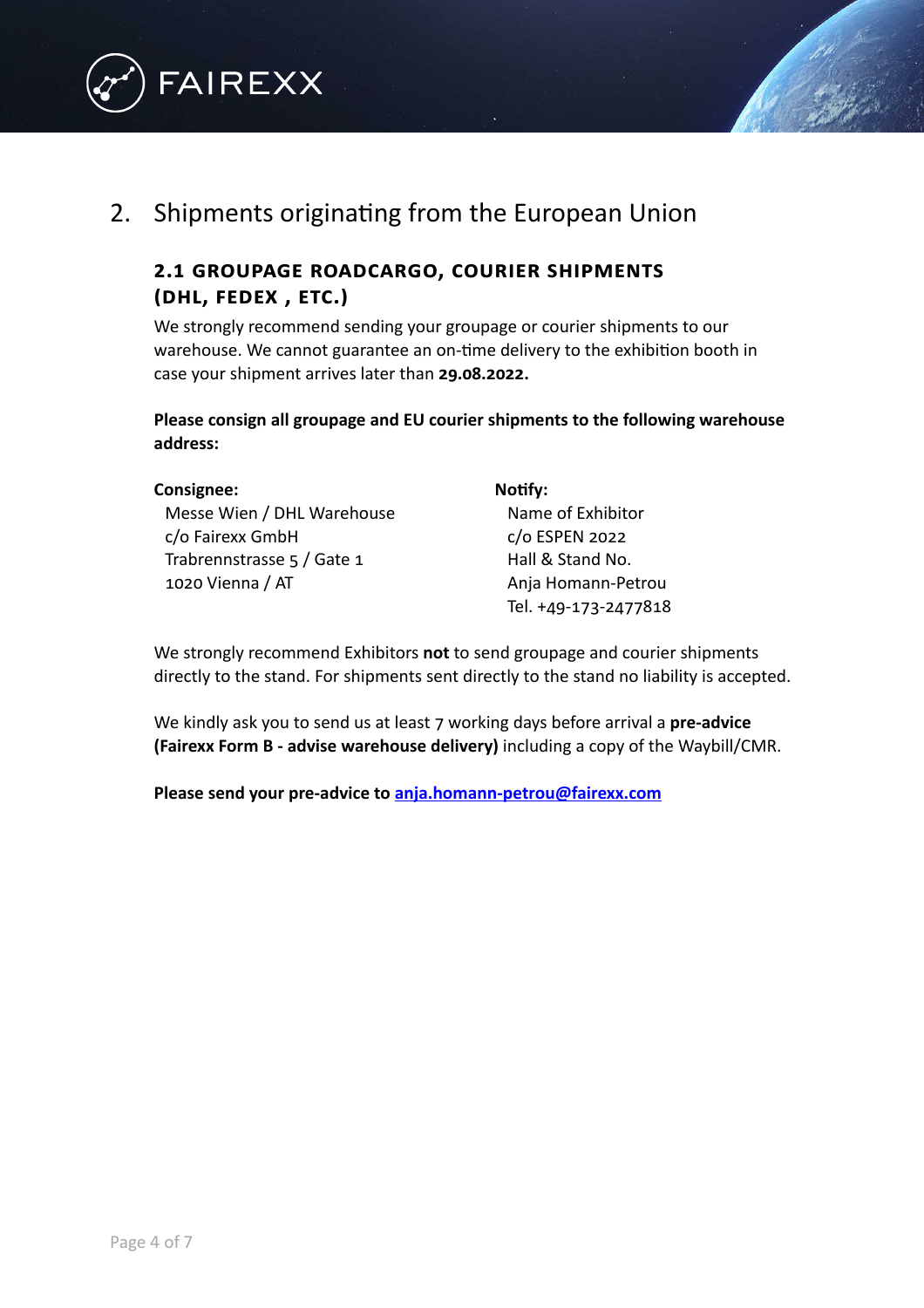



## <span id="page-4-0"></span>2. Shipments originating from the European Union

### **2.1 GROUPAGE ROADCARGO, COURIER SHIPMENTS (DHL, FEDEX , ETC.)**

We strongly recommend sending your groupage or courier shipments to our warehouse. We cannot guarantee an on-time delivery to the exhibition booth in case your shipment arrives later than **29.08.2022.**

**Please consign all groupage and EU courier shipments to the following warehouse address:**

| Consignee:                 | Notify:          |
|----------------------------|------------------|
| Messe Wien / DHL Warehouse | Name of Exhibite |
| c/o Fairexx GmbH           | c/o ESPEN 2022   |
| Trabrennstrasse 5 / Gate 1 | Hall & Stand No. |
| 1020 Vienna / AT           | Anja Homann-Pe   |
|                            |                  |

Exhibitor nann-Petrou Tel. +49-173-2477818

We strongly recommend Exhibitors **not** to send groupage and courier shipments directly to the stand. For shipments sent directly to the stand no liability is accepted.

We kindly ask you to send us at least 7 working days before arrival a **pre-advice (Fairexx Form B - advise warehouse delivery)** including a copy of the Waybill/CMR.

**Please send your pre-advice to [anja.homann-petrou@fairexx.com](mailto:anja.homann-petrou@fairexx.com)**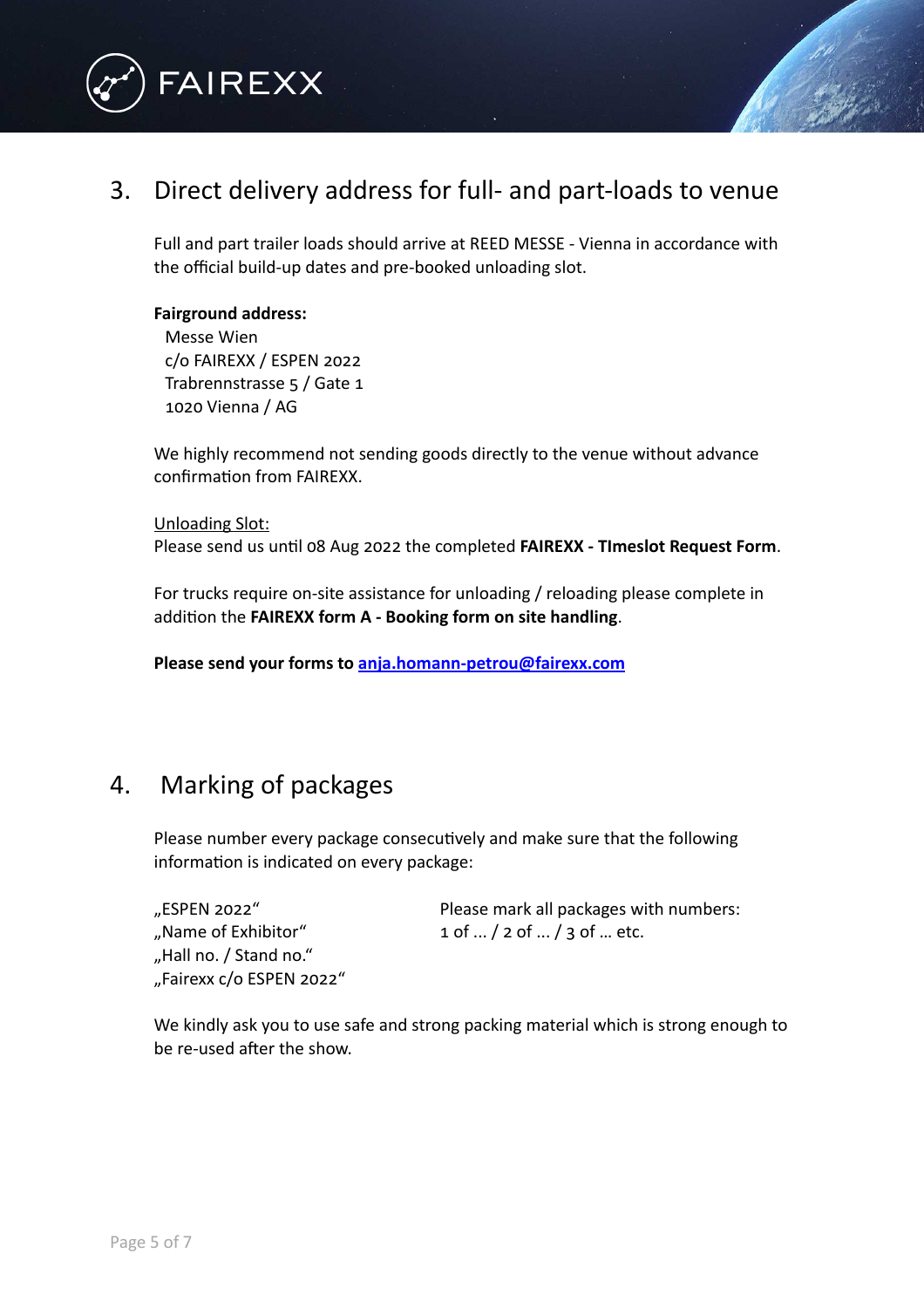

### <span id="page-5-0"></span>3. Direct delivery address for full- and part-loads to venue

Full and part trailer loads should arrive at REED MESSE - Vienna in accordance with the official build-up dates and pre-booked unloading slot.

#### **Fairground address:**

Messe Wien c/o FAIREXX / ESPEN 2022 Trabrennstrasse 5 / Gate 1 1020 Vienna / AG

We highly recommend not sending goods directly to the venue without advance confirmation from FAIREXX.

Unloading Slot: Please send us until 08 Aug 2022 the completed **FAIREXX - TImeslot Request Form**.

For trucks require on-site assistance for unloading / reloading please complete in addition the **FAIREXX form A - Booking form on site handling**.

**Please send your forms to [anja.homann-petrou@fairexx.com](mailto:anja.homann-petrou@fairexx.com)**

### <span id="page-5-1"></span>4. Marking of packages

Please number every package consecutively and make sure that the following information is indicated on every package:

"Hall no. / Stand no." "Fairexx c/o ESPEN 2022"

"ESPEN 2022" Please mark all packages with numbers: "Name of Exhibitor"  $1$  of  $\ldots$  / 2 of  $\ldots$  / 3 of  $\ldots$  etc.

We kindly ask you to use safe and strong packing material which is strong enough to be re-used after the show.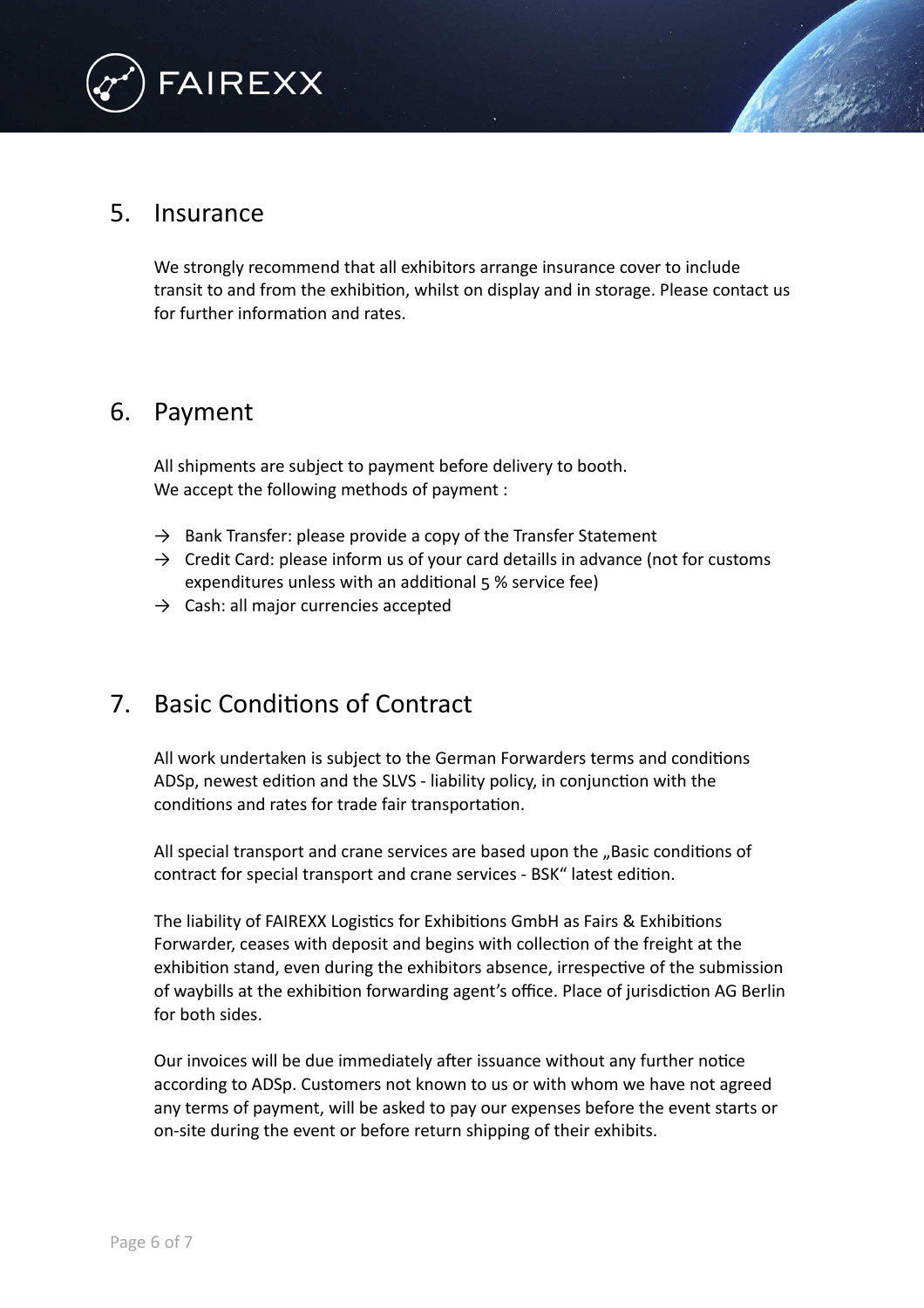

### <span id="page-6-0"></span>5. Insurance

We strongly recommend that all exhibitors arrange insurance cover to include transit to and from the exhibition, whilst on display and in storage. Please contact us for further information and rates.

### <span id="page-6-1"></span>6. Payment

All shipments are subject to payment before delivery to booth. We accept the following methods of payment :

- $\rightarrow$  Bank Transfer: please provide a copy of the Transfer Statement
- $\rightarrow$  Credit Card: please inform us of your card detaills in advance (not for customs expenditures unless with an additional 5 % service fee)
- $\rightarrow$  Cash: all major currencies accepted

## <span id="page-6-2"></span>7. Basic Conditions of Contract

All work undertaken is subject to the German Forwarders terms and conditions ADSp, newest edition and the SLVS - liability policy, in conjunction with the conditions and rates for trade fair transportation.

All special transport and crane services are based upon the "Basic conditions of contract for special transport and crane services - BSK" latest edition.

The liability of FAIREXX Logistics for Exhibitions GmbH as Fairs & Exhibitions Forwarder, ceases with deposit and begins with collection of the freight at the exhibition stand, even during the exhibitors absence, irrespective of the submission of waybills at the exhibition forwarding agent's office. Place of jurisdiction AG Berlin for both sides.

Our invoices will be due immediately after issuance without any further notice according to ADSp. Customers not known to us or with whom we have not agreed any terms of payment, will be asked to pay our expenses before the event starts or on-site during the event or before return shipping of their exhibits.